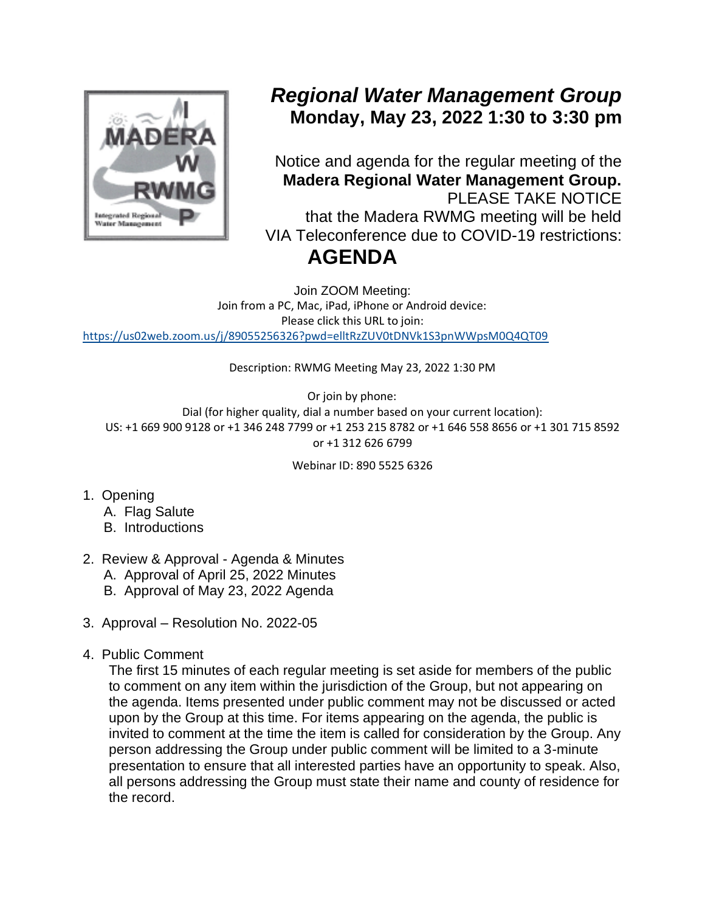

## *Regional Water Management Group* **Monday, May 23, 2022 1:30 to 3:30 pm**

Notice and agenda for the regular meeting of the **Madera Regional Water Management Group.** PLEASE TAKE NOTICE that the Madera RWMG meeting will be held VIA Teleconference due to COVID-19 restrictions: **AGENDA**

Join ZOOM Meeting: Join from a PC, Mac, iPad, iPhone or Android device: Please click this URL to join: <https://us02web.zoom.us/j/89055256326?pwd=elltRzZUV0tDNVk1S3pnWWpsM0Q4QT09>

Description: RWMG Meeting May 23, 2022 1:30 PM

Or join by phone: Dial (for higher quality, dial a number based on your current location): US: +1 669 900 9128 or +1 346 248 7799 or +1 253 215 8782 or +1 646 558 8656 or +1 301 715 8592 or +1 312 626 6799

Webinar ID: 890 5525 6326

- 1. Opening
	- A. Flag Salute
	- B. Introductions
- 2. Review & Approval Agenda & Minutes
	- A. Approval of April 25, 2022 Minutes
	- B. Approval of May 23, 2022 Agenda
- 3. Approval Resolution No. 2022-05
- 4. Public Comment

The first 15 minutes of each regular meeting is set aside for members of the public to comment on any item within the jurisdiction of the Group, but not appearing on the agenda. Items presented under public comment may not be discussed or acted upon by the Group at this time. For items appearing on the agenda, the public is invited to comment at the time the item is called for consideration by the Group. Any person addressing the Group under public comment will be limited to a 3-minute presentation to ensure that all interested parties have an opportunity to speak. Also, all persons addressing the Group must state their name and county of residence for the record.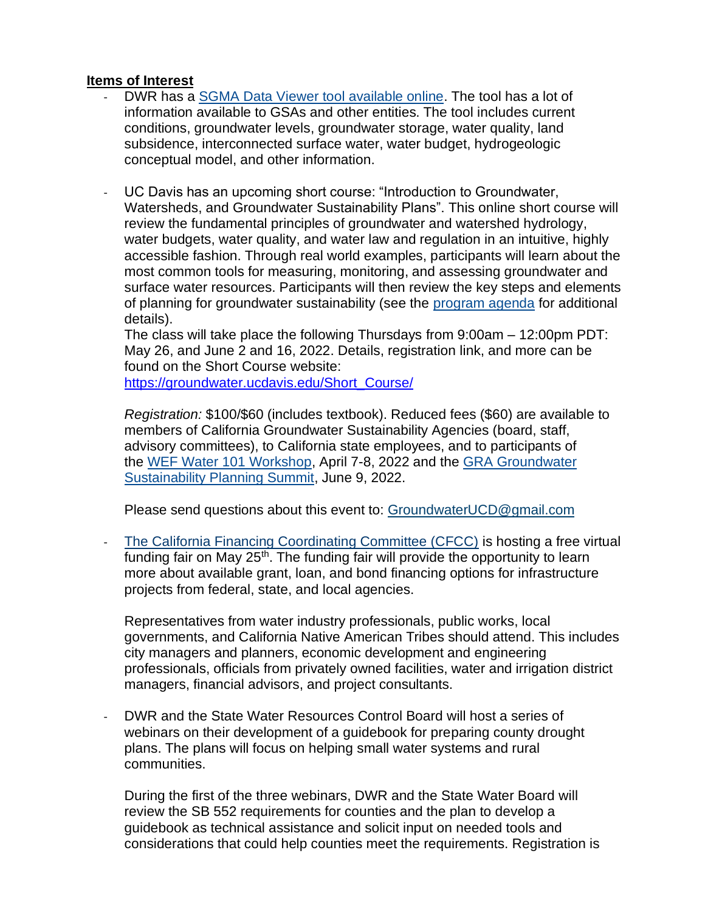## **Items of Interest**

- DWR has a [SGMA Data Viewer tool available online.](https://sgma.water.ca.gov/webgis/?appid=SGMADataViewer#landsub) The tool has a lot of information available to GSAs and other entities. The tool includes current conditions, groundwater levels, groundwater storage, water quality, land subsidence, interconnected surface water, water budget, hydrogeologic conceptual model, and other information.
- UC Davis has an upcoming short course: "Introduction to Groundwater, Watersheds, and Groundwater Sustainability Plans". This online short course will review the fundamental principles of groundwater and watershed hydrology, water budgets, water quality, and water law and regulation in an intuitive, highly accessible fashion. Through real world examples, participants will learn about the most common tools for measuring, monitoring, and assessing groundwater and surface water resources. Participants will then review the key steps and elements of planning for groundwater sustainability (see the [program](https://groundwater.ucanr.edu/Short_Course/index.cfm#Agenda) agenda for additional details).

The class will take place the following Thursdays from 9:00am – 12:00pm PDT: May 26, and June 2 and 16, 2022. Details, registration link, and more can be found on the Short Course website:

[https://groundwater.ucdavis.edu/Short\\_Course/](https://groundwater.ucanr.edu/Short_Course/index.cfm)

*Registration:* \$100/\$60 (includes textbook). Reduced fees (\$60) are available to members of California Groundwater Sustainability Agencies (board, staff, advisory committees), to California state employees, and to participants of the WEF [Water 101 Workshop,](https://www.watereducation.org/foundation-event/water-101-workshop-basics-and-beyond-4) April 7-8, 2022 and the [GRA Groundwater](https://www.grac.org/events/414/)  [Sustainability Planning Summit,](https://www.grac.org/events/414/) June 9, 2022.

Please send questions about this event to: [GroundwaterUCD@gmail.com](mailto:GroundwaterUCD@gmail.com)

[The California Financing Coordinating Committee \(CFCC\)](https://gcc02.safelinks.protection.outlook.com/?url=http%3A%2F%2Fwww.cfcc.ca.gov%2F&data=04%7C01%7C%7C0aa4ec9fe5d04395408808da1e2bc7e3%7Cb71d56524b834257afcd7fd177884564%7C0%7C0%7C637855470640773997%7CUnknown%7CTWFpbGZsb3d8eyJWIjoiMC4wLjAwMDAiLCJQIjoiV2luMzIiLCJBTiI6Ik1haWwiLCJXVCI6Mn0%3D%7C3000&sdata=Jtynh8AACdR5XuwoQ%2BEaeLE2R%2Fu8qEBcrCx7%2BX8qdCE%3D&reserved=0) is hosting a free virtual funding fair on May  $25<sup>th</sup>$ . The funding fair will provide the opportunity to learn more about available grant, loan, and bond financing options for infrastructure projects from federal, state, and local agencies.

Representatives from water industry professionals, public works, local governments, and California Native American Tribes should attend. This includes city managers and planners, economic development and engineering professionals, officials from privately owned facilities, water and irrigation district managers, financial advisors, and project consultants.

- DWR and the State Water Resources Control Board will host a series of webinars on their development of a guidebook for preparing county drought plans. The plans will focus on helping small water systems and rural communities.

During the first of the three webinars, DWR and the State Water Board will review the SB 552 requirements for counties and the plan to develop a guidebook as technical assistance and solicit input on needed tools and considerations that could help counties meet the requirements. Registration is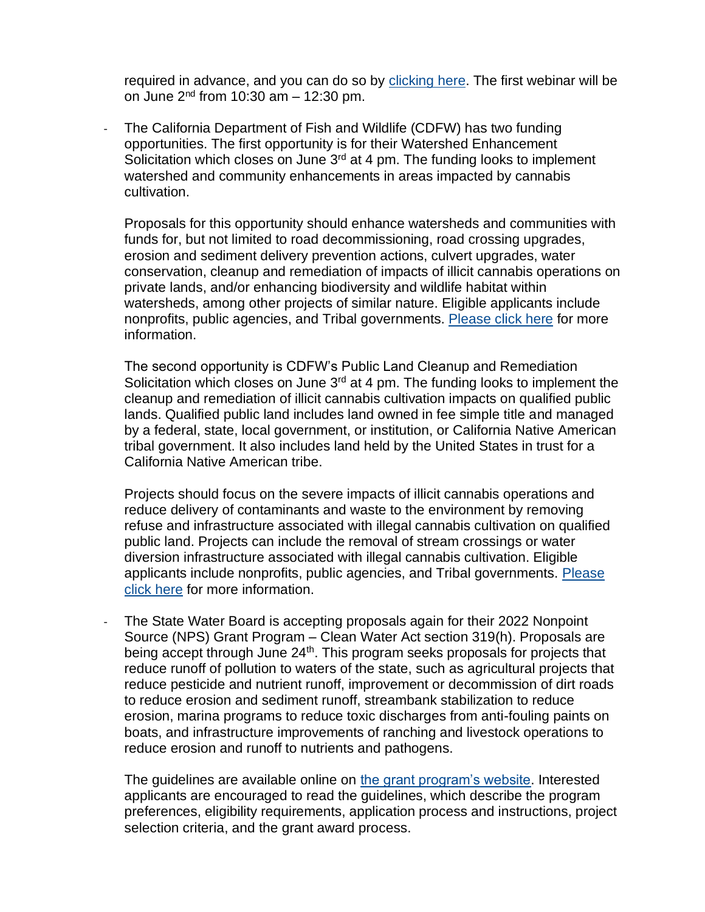required in advance, and you can do so by [clicking here.](https://csus.zoom.us/meeting/register/tZAsceChqTwqHNHcrBQg-5UFZuIwNSKaVJ85) The first webinar will be on June  $2<sup>nd</sup>$  from 10:30 am  $-$  12:30 pm.

The California Department of Fish and Wildlife (CDFW) has two funding opportunities. The first opportunity is for their Watershed Enhancement Solicitation which closes on June 3<sup>rd</sup> at 4 pm. The funding looks to implement watershed and community enhancements in areas impacted by cannabis cultivation.

Proposals for this opportunity should enhance watersheds and communities with funds for, but not limited to road decommissioning, road crossing upgrades, erosion and sediment delivery prevention actions, culvert upgrades, water conservation, cleanup and remediation of impacts of illicit cannabis operations on private lands, and/or enhancing biodiversity and wildlife habitat within watersheds, among other projects of similar nature. Eligible applicants include nonprofits, public agencies, and Tribal governments. [Please click here](https://www.grants.ca.gov/grants/watershed-enhancement-solicitation/) for more information.

The second opportunity is CDFW's Public Land Cleanup and Remediation Solicitation which closes on June 3<sup>rd</sup> at 4 pm. The funding looks to implement the cleanup and remediation of illicit cannabis cultivation impacts on qualified public lands. Qualified public land includes land owned in fee simple title and managed by a federal, state, local government, or institution, or California Native American tribal government. It also includes land held by the United States in trust for a California Native American tribe.

Projects should focus on the severe impacts of illicit cannabis operations and reduce delivery of contaminants and waste to the environment by removing refuse and infrastructure associated with illegal cannabis cultivation on qualified public land. Projects can include the removal of stream crossings or water diversion infrastructure associated with illegal cannabis cultivation. Eligible applicants include nonprofits, public agencies, and Tribal governments. [Please](https://www.grants.ca.gov/grants/public-land-cleanup-and-remediation-solicitation/)  [click here](https://www.grants.ca.gov/grants/public-land-cleanup-and-remediation-solicitation/) for more information.

The State Water Board is accepting proposals again for their 2022 Nonpoint Source (NPS) Grant Program – Clean Water Act section 319(h). Proposals are being accept through June 24<sup>th</sup>. This program seeks proposals for projects that reduce runoff of pollution to waters of the state, such as agricultural projects that reduce pesticide and nutrient runoff, improvement or decommission of dirt roads to reduce erosion and sediment runoff, streambank stabilization to reduce erosion, marina programs to reduce toxic discharges from anti-fouling paints on boats, and infrastructure improvements of ranching and livestock operations to reduce erosion and runoff to nutrients and pathogens.

The guidelines are available online on [the grant program's website.](https://www.waterboards.ca.gov/water_issues/programs/nps/319grants.html) Interested applicants are encouraged to read the guidelines, which describe the program preferences, eligibility requirements, application process and instructions, project selection criteria, and the grant award process.